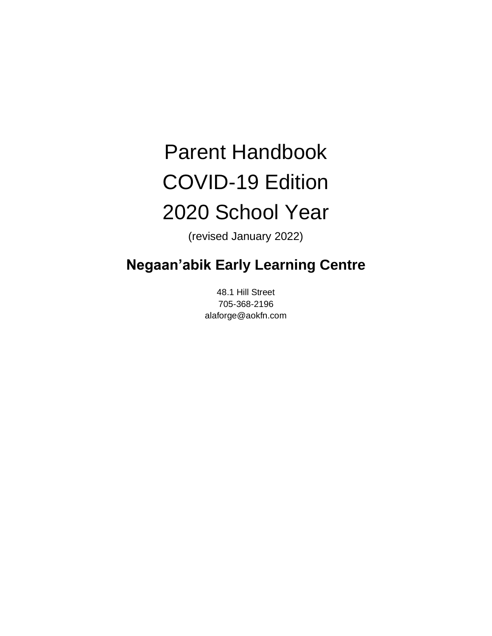# Parent Handbook COVID-19 Edition 2020 School Year

(revised January 2022)

## **Negaan'abik Early Learning Centre**

48.1 Hill Street 705-368-2196 alaforge@aokfn.com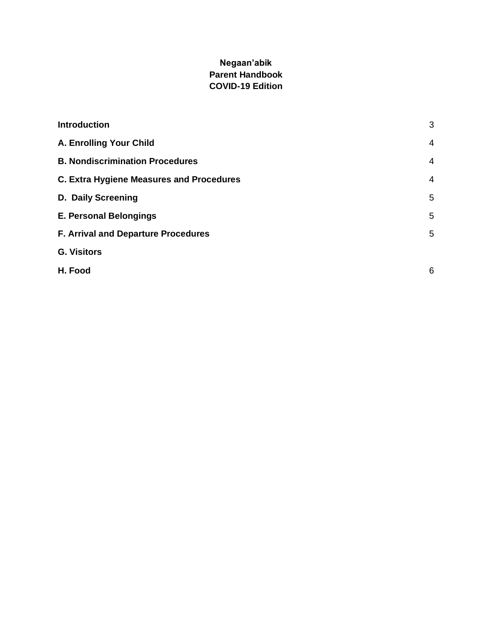#### **Negaan'abik Parent Handbook COVID-19 Edition**

| <b>Introduction</b>                             | 3              |
|-------------------------------------------------|----------------|
| A. Enrolling Your Child                         | $\overline{4}$ |
| <b>B. Nondiscrimination Procedures</b>          | $\overline{4}$ |
| <b>C. Extra Hygiene Measures and Procedures</b> | $\overline{4}$ |
| D. Daily Screening                              | 5              |
| <b>E. Personal Belongings</b>                   | 5              |
| F. Arrival and Departure Procedures             | 5              |
| <b>G. Visitors</b>                              |                |
| H. Food                                         | 6              |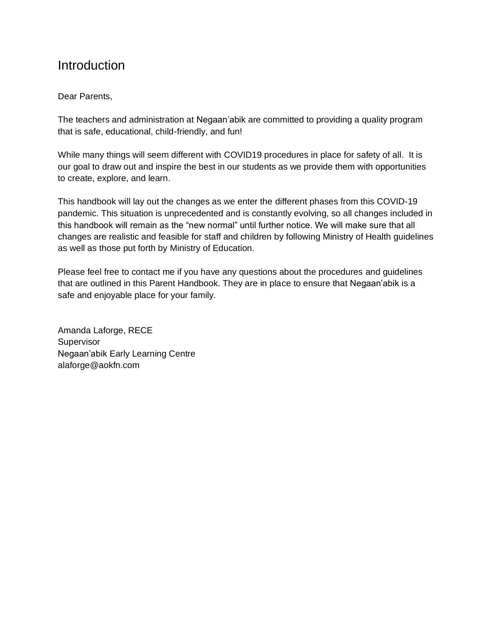#### <span id="page-2-0"></span>**Introduction**

#### Dear Parents,

The teachers and administration at Negaan'abik are committed to providing a quality program that is safe, educational, child-friendly, and fun!

While many things will seem different with COVID19 procedures in place for safety of all. It is our goal to draw out and inspire the best in our students as we provide them with opportunities to create, explore, and learn.

This handbook will lay out the changes as we enter the different phases from this COVID-19 pandemic. This situation is unprecedented and is constantly evolving, so all changes included in this handbook will remain as the "new normal" until further notice. We will make sure that all changes are realistic and feasible for staff and children by following Ministry of Health guidelines as well as those put forth by Ministry of Education.

Please feel free to contact me if you have any questions about the procedures and guidelines that are outlined in this Parent Handbook. They are in place to ensure that Negaan'abik is a safe and enjoyable place for your family.

Amanda Laforge, RECE **Supervisor** Negaan'abik Early Learning Centre alaforge@aokfn.com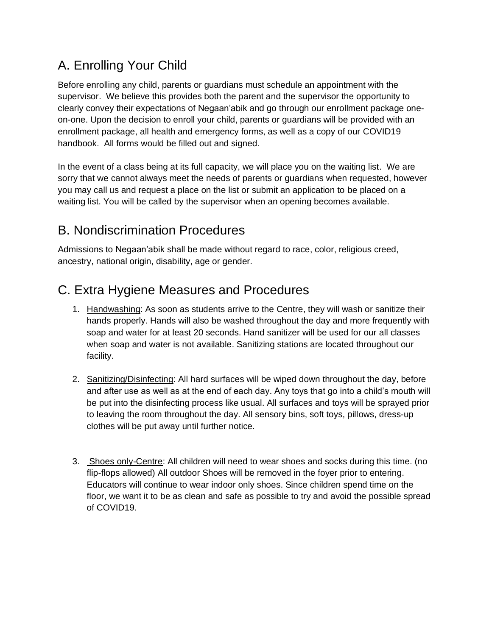### <span id="page-3-0"></span>A. Enrolling Your Child

Before enrolling any child, parents or guardians must schedule an appointment with the supervisor. We believe this provides both the parent and the supervisor the opportunity to clearly convey their expectations of Negaan'abik and go through our enrollment package oneon-one. Upon the decision to enroll your child, parents or guardians will be provided with an enrollment package, all health and emergency forms, as well as a copy of our COVID19 handbook. All forms would be filled out and signed.

In the event of a class being at its full capacity, we will place you on the waiting list. We are sorry that we cannot always meet the needs of parents or guardians when requested, however you may call us and request a place on the list or submit an application to be placed on a waiting list. You will be called by the supervisor when an opening becomes available.

### <span id="page-3-1"></span>B. Nondiscrimination Procedures

Admissions to Negaan'abik shall be made without regard to race, color, religious creed, ancestry, national origin, disability, age or gender.

### <span id="page-3-2"></span>C. Extra Hygiene Measures and Procedures

- 1. Handwashing: As soon as students arrive to the Centre, they will wash or sanitize their hands properly. Hands will also be washed throughout the day and more frequently with soap and water for at least 20 seconds. Hand sanitizer will be used for our all classes when soap and water is not available. Sanitizing stations are located throughout our facility.
- 2. Sanitizing/Disinfecting: All hard surfaces will be wiped down throughout the day, before and after use as well as at the end of each day. Any toys that go into a child's mouth will be put into the disinfecting process like usual. All surfaces and toys will be sprayed prior to leaving the room throughout the day. All sensory bins, soft toys, pillows, dress-up clothes will be put away until further notice.
- 3. Shoes only-Centre: All children will need to wear shoes and socks during this time. (no flip-flops allowed) All outdoor Shoes will be removed in the foyer prior to entering. Educators will continue to wear indoor only shoes. Since children spend time on the floor, we want it to be as clean and safe as possible to try and avoid the possible spread of COVID19.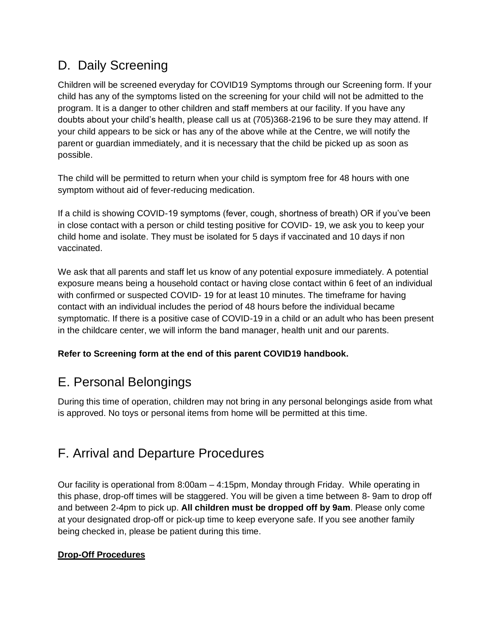### D. Daily Screening

Children will be screened everyday for COVID19 Symptoms through our Screening form. If your child has any of the symptoms listed on the screening for your child will not be admitted to the program. It is a danger to other children and staff members at our facility. If you have any doubts about your child's health, please call us at (705)368-2196 to be sure they may attend. If your child appears to be sick or has any of the above while at the Centre, we will notify the parent or guardian immediately, and it is necessary that the child be picked up as soon as possible.

The child will be permitted to return when your child is symptom free for 48 hours with one symptom without aid of fever-reducing medication.

If a child is showing COVID-19 symptoms (fever, cough, shortness of breath) OR if you've been in close contact with a person or child testing positive for COVID- 19, we ask you to keep your child home and isolate. They must be isolated for 5 days if vaccinated and 10 days if non vaccinated.

We ask that all parents and staff let us know of any potential exposure immediately. A potential exposure means being a household contact or having close contact within 6 feet of an individual with confirmed or suspected COVID- 19 for at least 10 minutes. The timeframe for having contact with an individual includes the period of 48 hours before the individual became symptomatic. If there is a positive case of COVID-19 in a child or an adult who has been present in the childcare center, we will inform the band manager, health unit and our parents.

#### <span id="page-4-0"></span>**Refer to Screening form at the end of this parent COVID19 handbook.**

### E. Personal Belongings

During this time of operation, children may not bring in any personal belongings aside from what is approved. No toys or personal items from home will be permitted at this time.

### <span id="page-4-1"></span>F. Arrival and Departure Procedures

Our facility is operational from 8:00am – 4:15pm, Monday through Friday. While operating in this phase, drop-off times will be staggered. You will be given a time between 8- 9am to drop off and between 2-4pm to pick up. **All children must be dropped off by 9am**. Please only come at your designated drop-off or pick-up time to keep everyone safe. If you see another family being checked in, please be patient during this time.

#### **Drop-Off Procedures**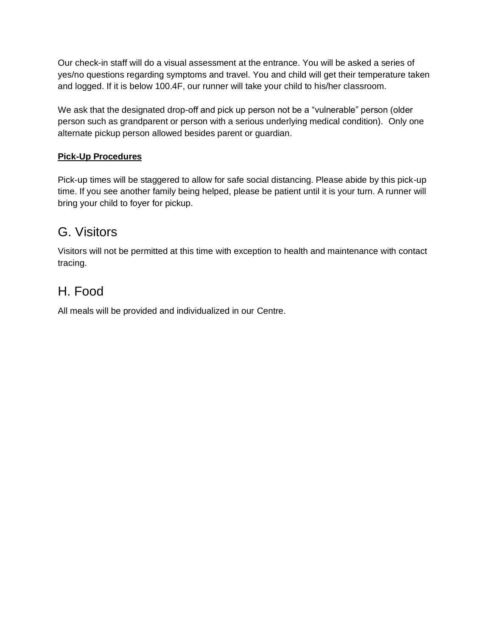Our check-in staff will do a visual assessment at the entrance. You will be asked a series of yes/no questions regarding symptoms and travel. You and child will get their temperature taken and logged. If it is below 100.4F, our runner will take your child to his/her classroom.

We ask that the designated drop-off and pick up person not be a "vulnerable" person (older person such as grandparent or person with a serious underlying medical condition). Only one alternate pickup person allowed besides parent or guardian.

#### **Pick-Up Procedures**

Pick-up times will be staggered to allow for safe social distancing. Please abide by this pick-up time. If you see another family being helped, please be patient until it is your turn. A runner will bring your child to foyer for pickup.

#### <span id="page-5-0"></span>G. Visitors

Visitors will not be permitted at this time with exception to health and maintenance with contact tracing.

### <span id="page-5-1"></span>H. Food

All meals will be provided and individualized in our Centre.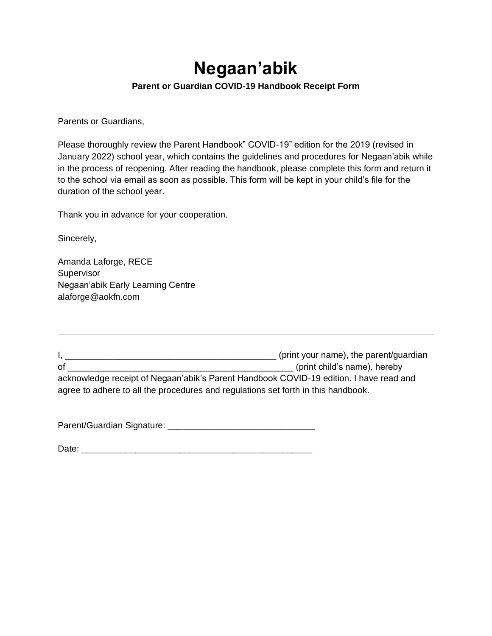# **Negaan'abik**

#### **Parent or Guardian COVID-19 Handbook Receipt Form**

Parents or Guardians,

Please thoroughly review the Parent Handbook" COVID-19" edition for the 2019 (revised in January 2022) school year, which contains the guidelines and procedures for Negaan'abik while in the process of reopening. After reading the handbook, please complete this form and return it to the school via email as soon as possible. This form will be kept in your child's file for the duration of the school year.

Thank you in advance for your cooperation.

Sincerely,

Amanda Laforge, RECE **Supervisor** Negaan'abik Early Learning Centre alaforge@aokfn.com

I, \_\_\_\_\_\_\_\_\_\_\_\_\_\_\_\_\_\_\_\_\_\_\_\_\_\_\_\_\_\_\_\_\_\_\_\_\_\_\_\_\_\_\_ (print your name), the parent/guardian of example of  $_{\rm{opt}}$  and  $_{\rm{opt}}$  (print child's name), hereby acknowledge receipt of Negaan'abik's Parent Handbook COVID-19 edition. I have read and agree to adhere to all the procedures and regulations set forth in this handbook.

Parent/Guardian Signature: \_\_\_\_\_\_\_\_\_\_\_\_\_\_\_\_\_\_\_\_\_\_\_\_\_\_\_\_\_\_

Date:  $\Box$